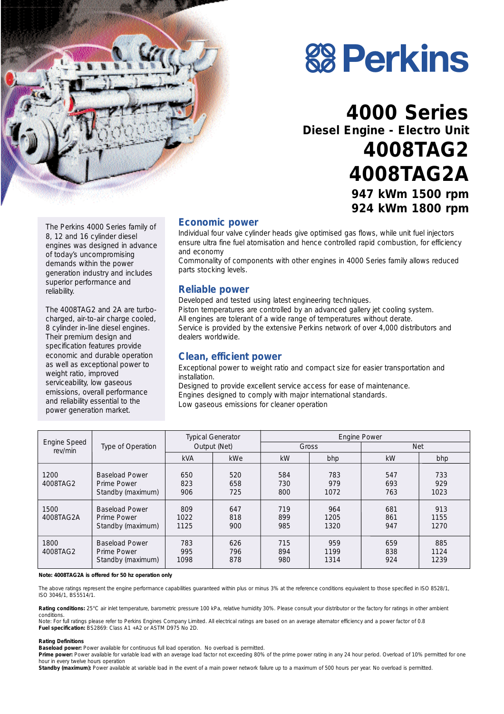



## **4000 Series Diesel Engine - Electro Unit 4008TAG2 4008TAG2A 947 kWm 1500 rpm 924 kWm 1800 rpm**

The Perkins 4000 Series family of 8, 12 and 16 cylinder diesel engines was designed in advance of today's uncompromising demands within the power generation industry and includes superior performance and reliability.

The 4008TAG2 and 2A are turbocharged, air-to-air charge cooled, 8 cylinder in-line diesel engines. Their premium design and specification features provide economic and durable operation as well as exceptional power to weight ratio, improved serviceability, low gaseous emissions, overall performance and reliability essential to the power generation market.

#### **Economic power**

Individual four valve cylinder heads give optimised gas flows, while unit fuel injectors ensure ultra fine fuel atomisation and hence controlled rapid combustion, for efficiency and economy

Commonality of components with other engines in 4000 Series family allows reduced parts stocking levels.

#### **Reliable power**

Developed and tested using latest engineering techniques. Piston temperatures are controlled by an advanced gallery jet cooling system. All engines are tolerant of a wide range of temperatures without derate. Service is provided by the extensive Perkins network of over 4,000 distributors and dealers worldwide.

#### **Clean, efficient power**

Exceptional power to weight ratio and compact size for easier transportation and installation.

Designed to provide excellent service access for ease of maintenance. Engines designed to comply with major international standards. Low gaseous emissions for cleaner operation

| Engine Speed<br>rev/min | Type of Operation                                         | <b>Typical Generator</b><br>Output (Net) |                   | <b>Engine Power</b> |                     |                   |                     |
|-------------------------|-----------------------------------------------------------|------------------------------------------|-------------------|---------------------|---------------------|-------------------|---------------------|
|                         |                                                           |                                          |                   | Gross               |                     | <b>Net</b>        |                     |
|                         |                                                           | <b>kVA</b>                               | kWe               | kW                  | bhp                 | kW                | bhp                 |
| 1200<br>4008TAG2        | <b>Baseload Power</b><br>Prime Power<br>Standby (maximum) | 650<br>823<br>906                        | 520<br>658<br>725 | 584<br>730<br>800   | 783<br>979<br>1072  | 547<br>693<br>763 | 733<br>929<br>1023  |
| 1500<br>4008TAG2A       | <b>Baseload Power</b><br>Prime Power<br>Standby (maximum) | 809<br>1022<br>1125                      | 647<br>818<br>900 | 719<br>899<br>985   | 964<br>1205<br>1320 | 681<br>861<br>947 | 913<br>1155<br>1270 |
| 1800<br>4008TAG2        | <b>Baseload Power</b><br>Prime Power<br>Standby (maximum) | 783<br>995<br>1098                       | 626<br>796<br>878 | 715<br>894<br>980   | 959<br>1199<br>1314 | 659<br>838<br>924 | 885<br>1124<br>1239 |

*Note: 4008TAG2A is offered for 50 hz operation only*

The above ratings represent the engine performance capabilities guaranteed within plus or minus 3% at the reference conditions equivalent to those specified in ISO 8528/1, ISO 3046/1, BS5514/1.

Rating conditions: 25°C air inlet temperature, barometric pressure 100 kPa, relative humidity 30%. Please consult your distributor or the factory for ratings in other ambient conditions.

*Note: For full ratings please refer to Perkins Engines Company Limited. All electrical ratings are based on an average alternator efficiency and a power factor of 0.8* **Fuel specification:** BS2869: Class A1 +A2 or ASTM D975 No 2D.

#### **Rating Definitions**

**Baseload power:** Power available for continuous full load operation. No overload is permitted.

Prime power: Power available for variable load with an average load factor not exceeding 80% of the prime power rating in any 24 hour period. Overload of 10% permitted for one hour in every twelve hours operation

Standby (maximum): Power available at variable load in the event of a main power network failure up to a maximum of 500 hours per year. No overload is permitted.